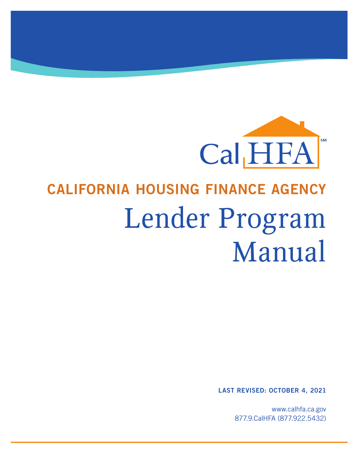

# CALIFORNIA HOUSING FINANCE AGENCY Lender Program Manual

LAST REVISED: OCTOBER 4, 2021

www.calhfa.ca.gov 877.9.CalHFA (877.922.5432)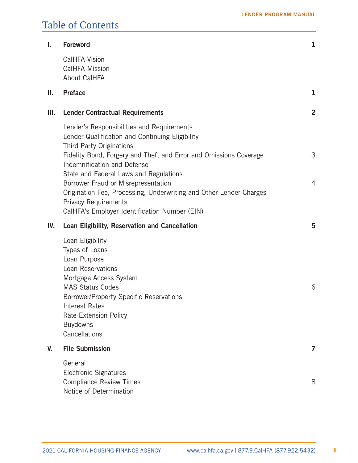# Table of Contents

| I.  | <b>Foreword</b>                                                                                                                                                                                                                                                         | $\mathbf{1}$   |
|-----|-------------------------------------------------------------------------------------------------------------------------------------------------------------------------------------------------------------------------------------------------------------------------|----------------|
|     | <b>CalHFA Vision</b><br><b>CalHFA Mission</b><br><b>About CalHFA</b>                                                                                                                                                                                                    |                |
| Ш.  | <b>Preface</b>                                                                                                                                                                                                                                                          | 1              |
| Ш.  | <b>Lender Contractual Requirements</b>                                                                                                                                                                                                                                  | $\overline{2}$ |
|     | Lender's Responsibilities and Requirements<br>Lender Qualification and Continuing Eligibility<br>Third Party Originations<br>Fidelity Bond, Forgery and Theft and Error and Omissions Coverage<br>Indemnification and Defense<br>State and Federal Laws and Regulations | 3              |
|     | Borrower Fraud or Misrepresentation<br>Origination Fee, Processing, Underwriting and Other Lender Charges<br><b>Privacy Requirements</b><br>CalHFA's Employer Identification Number (EIN)                                                                               | $\overline{4}$ |
| IV. | Loan Eligibility, Reservation and Cancellation                                                                                                                                                                                                                          | 5              |
|     | Loan Eligibility<br>Types of Loans<br>Loan Purpose<br>Loan Reservations<br>Mortgage Access System<br><b>MAS Status Codes</b><br>Borrower/Property Specific Reservations<br><b>Interest Rates</b><br>Rate Extension Policy<br><b>Buydowns</b><br>Cancellations           | 6              |
| V.  | <b>File Submission</b>                                                                                                                                                                                                                                                  | 7              |
|     | General<br><b>Electronic Signatures</b><br><b>Compliance Review Times</b><br>Notice of Determination                                                                                                                                                                    | 8              |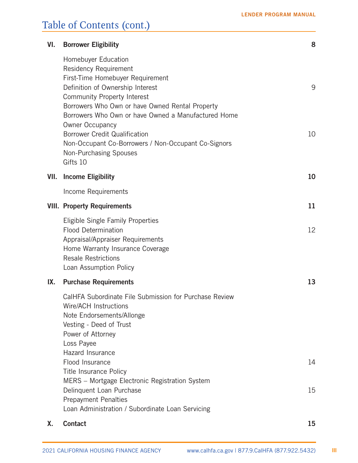| VI.  | <b>Borrower Eligibility</b>                                                                                                                                                                                                                                                                                                                                                                                                         | 8        |
|------|-------------------------------------------------------------------------------------------------------------------------------------------------------------------------------------------------------------------------------------------------------------------------------------------------------------------------------------------------------------------------------------------------------------------------------------|----------|
|      | Homebuyer Education<br>Residency Requirement<br>First-Time Homebuyer Requirement<br>Definition of Ownership Interest<br>Community Property Interest<br>Borrowers Who Own or have Owned Rental Property<br>Borrowers Who Own or have Owned a Manufactured Home<br><b>Owner Occupancy</b><br><b>Borrower Credit Qualification</b><br>Non-Occupant Co-Borrowers / Non-Occupant Co-Signors<br><b>Non-Purchasing Spouses</b><br>Gifts 10 | 9<br>10  |
| VII. | <b>Income Eligibility</b>                                                                                                                                                                                                                                                                                                                                                                                                           | 10       |
|      | Income Requirements                                                                                                                                                                                                                                                                                                                                                                                                                 |          |
|      | <b>VIII. Property Requirements</b>                                                                                                                                                                                                                                                                                                                                                                                                  | 11       |
|      | Eligible Single Family Properties<br><b>Flood Determination</b><br>Appraisal/Appraiser Requirements<br>Home Warranty Insurance Coverage<br><b>Resale Restrictions</b><br>Loan Assumption Policy                                                                                                                                                                                                                                     | 12       |
| IX.  | <b>Purchase Requirements</b>                                                                                                                                                                                                                                                                                                                                                                                                        | 13       |
|      | CalHFA Subordinate File Submission for Purchase Review<br>Wire/ACH Instructions<br>Note Endorsements/Allonge<br>Vesting - Deed of Trust<br>Power of Attorney<br>Loss Payee<br>Hazard Insurance<br>Flood Insurance<br><b>Title Insurance Policy</b><br>MERS - Mortgage Electronic Registration System<br>Delinquent Loan Purchase<br><b>Prepayment Penalties</b>                                                                     | 14<br>15 |
|      | Loan Administration / Subordinate Loan Servicing                                                                                                                                                                                                                                                                                                                                                                                    |          |
| Х.   | <b>Contact</b>                                                                                                                                                                                                                                                                                                                                                                                                                      | 15       |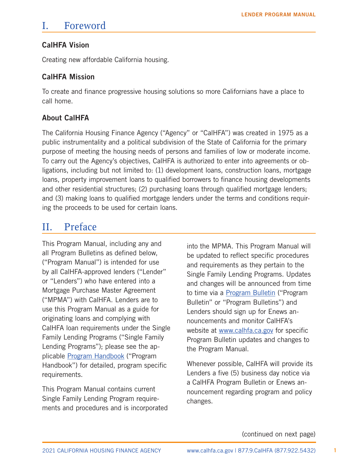# <span id="page-3-0"></span>I. Foreword

## CalHFA Vision

Creating new affordable California housing.

### CalHFA Mission

To create and finance progressive housing solutions so more Californians have a place to call home.

# About CalHFA

The California Housing Finance Agency ("Agency" or "CalHFA") was created in 1975 as a public instrumentality and a political subdivision of the State of California for the primary purpose of meeting the housing needs of persons and families of low or moderate income. To carry out the Agency's objectives, CalHFA is authorized to enter into agreements or obligations, including but not limited to: (1) development loans, construction loans, mortgage loans, property improvement loans to qualified borrowers to finance housing developments and other residential structures; (2) purchasing loans through qualified mortgage lenders; and (3) making loans to qualified mortgage lenders under the terms and conditions requiring the proceeds to be used for certain loans.

# II. Preface

This Program Manual, including any and all Program Bulletins as defined below, ("Program Manual") is intended for use by all CalHFA-approved lenders ("Lender" or "Lenders") who have entered into a Mortgage Purchase Master Agreement ("MPMA") with CalHFA. Lenders are to use this Program Manual as a guide for originating loans and complying with CalHFA loan requirements under the Single Family Lending Programs ("Single Family Lending Programs"); please see the applicable [Program Handbook](https://www.calhfa.ca.gov/homeownership/programs/index.htm) ("Program Handbook") for detailed, program specific requirements.

This Program Manual contains current Single Family Lending Program requirements and procedures and is incorporated

into the MPMA. This Program Manual will be updated to reflect specific procedures and requirements as they pertain to the Single Family Lending Programs. Updates and changes will be announced from time to time via a [Program Bulletin](https://www.calhfa.ca.gov/homeownership/bulletins/index.htm) ("Program Bulletin" or "Program Bulletins") and Lenders should sign up for Enews announcements and monitor CalHFA's website at [www.calhfa.ca.gov](http://www.calhfa.ca.gov/) for specific Program Bulletin updates and changes to the Program Manual.

Whenever possible, CalHFA will provide its Lenders a five (5) business day notice via a CalHFA Program Bulletin or Enews announcement regarding program and policy changes.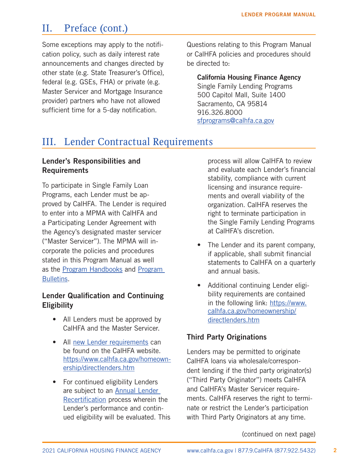# <span id="page-4-0"></span>II. Preface (cont.)

Some exceptions may apply to the notification policy, such as daily interest rate announcements and changes directed by other state (e.g. State Treasurer's Office), federal (e.g. GSEs, FHA) or private (e.g. Master Servicer and Mortgage Insurance provider) partners who have not allowed sufficient time for a 5-day notification.

Questions relating to this Program Manual or CalHFA policies and procedures should be directed to:

California Housing Finance Agency Single Family Lending Programs 500 Capitol Mall, Suite 1400 Sacramento, CA 95814 916.326.8000 [sfprograms@calhfa.ca.gov](mailto:sfprograms%40calhfa.ca.gov?subject=)

# III. Lender Contractual Requirements

#### Lender's Responsibilities and Requirements

To participate in Single Family Loan Programs, each Lender must be approved by CalHFA. The Lender is required to enter into a MPMA with CalHFA and a Participating Lender Agreement with the Agency's designated master servicer ("Master Servicer"). The MPMA will incorporate the policies and procedures stated in this Program Manual as well as the [Program Handbooks](https://www.calhfa.ca.gov/homeownership/programs/index.htm) and [Program](https://www.calhfa.ca.gov/homeownership/bulletins/index.htm)  [Bulletins.](https://www.calhfa.ca.gov/homeownership/bulletins/index.htm)

### Lender Qualification and Continuing **Eligibility**

- All Lenders must be approved by CalHFA and the Master Servicer.
- All [new Lender requirements](https://www.calhfa.ca.gov/homeownership/directlenders.htm) can be found on the CalHFA website. [https://www.calhfa.ca.gov/homeown](https://www.calhfa.ca.gov/homeownership/directlenders.htm)[ership/directlenders.htm](https://www.calhfa.ca.gov/homeownership/directlenders.htm)
- For continued eligibility Lenders are subject to an [Annual Lender](https://www.calhfa.ca.gov/homeownership/directlenders.htm)  [Recertification](https://www.calhfa.ca.gov/homeownership/directlenders.htm) process wherein the Lender's performance and continued eligibility will be evaluated. This

process will allow CalHFA to review and evaluate each Lender's financial stability, compliance with current licensing and insurance requirements and overall viability of the organization. CalHFA reserves the right to terminate participation in the Single Family Lending Programs at CalHFA's discretion.

- The Lender and its parent company, if applicable, shall submit financial statements to CalHFA on a quarterly and annual basis.
- Additional continuing Lender eligibility requirements are contained in the following link: [https://www.](https://www.calhfa.ca.gov/homeownership/directlenders.htm) [calhfa.ca.gov/homeownership/](https://www.calhfa.ca.gov/homeownership/directlenders.htm) [directlenders.htm](https://www.calhfa.ca.gov/homeownership/directlenders.htm)

### Third Party Originations

Lenders may be permitted to originate CalHFA loans via wholesale/correspondent lending if the third party originator(s) ("Third Party Originator") meets CalHFA and CalHFA's Master Servicer requirements. CalHFA reserves the right to terminate or restrict the Lender's participation with Third Party Originators at any time.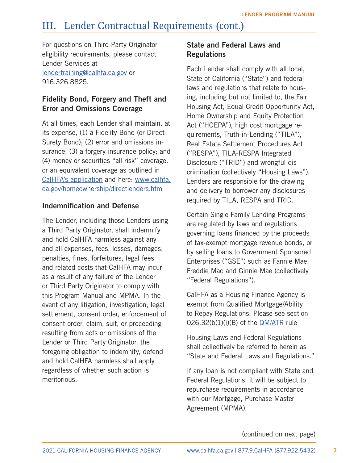# <span id="page-5-0"></span>III. Lender Contractual Requirements (cont.)

For questions on Third Party Originator eligibility requirements, please contact Lender Services at

[lendertraining@calhfa.ca.gov](mailto:lendertraining%40calhfa.ca.gov?subject=) or 916.326.8825.

# Fidelity Bond, Forgery and Theft and Error and Omissions Coverage

At all times, each Lender shall maintain, at its expense, (1) a Fidelity Bond (or Direct Surety Bond); (2) error and omissions insurance; (3) a forgery insurance policy; and (4) money or securities "all risk" coverage, or an equivalent coverage as outlined in [CalHFA's application](http://www.calhfa.ca.gov/homeownership/newlenders/ApplicationToOriginate.pdf) and here: [www.calhfa.](https://www.calhfa.ca.gov/homeownership/directlenders.htm) [ca.gov/homeownership/directlenders.htm](https://www.calhfa.ca.gov/homeownership/directlenders.htm)

### Indemnification and Defense

The Lender, including those Lenders using a Third Party Originator, shall indemnify and hold CalHFA harmless against any and all expenses, fees, losses, damages, penalties, fines, forfeitures, legal fees and related costs that CalHFA may incur as a result of any failure of the Lender or Third Party Originator to comply with this Program Manual and [MPMA.](https://www.calhfa.ca.gov/homeownership/directlenders.htm) In the event of any litigation, investigation, legal settlement, consent order, enforcement of consent order, claim, suit, or proceeding resulting from acts or omissions of the Lender or Third Party Originator, the foregoing obligation to indemnity, defend and hold CalHFA harmless shall apply regardless of whether such action is meritorious.

### State and Federal Laws and **Regulations**

Each Lender shall comply with all local, State of California ("State") and federal laws and regulations that relate to housing, including but not limited to, the Fair Housing Act, Equal Credit Opportunity Act, Home Ownership and Equity Protection Act ("HOEPA"), high cost mortgage requirements, Truth-in-Lending ("TILA"), Real Estate Settlement Procedures Act ("RESPA"), TILA-RESPA Integrated Disclosure ("TRID") and wrongful discrimination (collectively "Housing Laws"). Lenders are responsible for the drawing and delivery to borrower any disclosures required by TILA, RESPA and TRID.

Certain Single Family Lending Programs are regulated by laws and regulations governing loans financed by the proceeds of tax-exempt mortgage revenue bonds, or by selling loans to Government Sponsored Enterprises ("GSE") such as Fannie Mae, Freddie Mac and Ginnie Mae (collectively "Federal Regulations").

CalHFA as a Housing Finance Agency is exempt from Qualified Mortgage/Ability to Repay Regulations. Please see section  $026.32(b(1)(i)(B)$  of the [QM/ATR](http://files.consumerfinance.gov/f/201310_cfpb_atr-qm-small-entity_compliance-guide.pdf) rule

Housing Laws and Federal Regulations shall collectively be referred to herein as "State and Federal Laws and Regulations."

If any loan is not compliant with State and Federal Regulations, it will be subject to repurchase requirements in accordance with our Mortgage, Purchase Master Agreement (MPMA).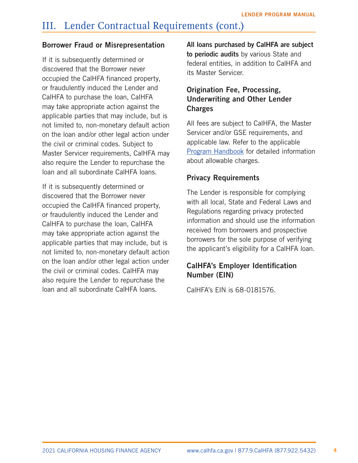# <span id="page-6-0"></span>III. Lender Contractual Requirements (cont.)

#### Borrower Fraud or Misrepresentation

If it is subsequently determined or discovered that the Borrower never occupied the CalHFA financed property, or fraudulently induced the Lender and CalHFA to purchase the loan, CalHFA may take appropriate action against the applicable parties that may include, but is not limited to, non-monetary default action on the loan and/or other legal action under the civil or criminal codes. Subject to Master Servicer requirements, CalHFA may also require the Lender to repurchase the loan and all subordinate CalHFA loans.

If it is subsequently determined or discovered that the Borrower never occupied the CalHFA financed property, or fraudulently induced the Lender and CalHFA to purchase the loan, CalHFA may take appropriate action against the applicable parties that may include, but is not limited to, non-monetary default action on the loan and/or other legal action under the civil or criminal codes. CalHFA may also require the Lender to repurchase the loan and all subordinate CalHFA loans.

All loans purchased by CalHFA are subject to periodic audits by various State and federal entities, in addition to CalHFA and its Master Servicer.

### Origination Fee, Processing, Underwriting and Other Lender **Charges**

All fees are subject to CalHFA, the Master Servicer and/or GSE requirements, and applicable law. Refer to the applicable [Program Handbook](https://www.calhfa.ca.gov/homeownership/programs/index.htm) for detailed information about allowable charges.

#### Privacy Requirements

The Lender is responsible for complying with all local, State and Federal Laws and Regulations regarding privacy protected information and should use the information received from borrowers and prospective borrowers for the sole purpose of verifying the applicant's eligibility for a CalHFA loan.

### CalHFA's Employer Identification Number (EIN)

CalHFA's EIN is 68-0181576.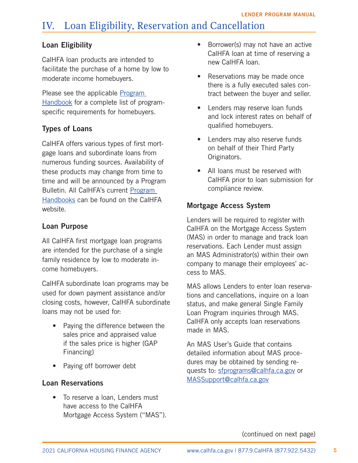# <span id="page-7-0"></span>IV. Loan Eligibility, Reservation and Cancellation

#### Loan Eligibility

CalHFA loan products are intended to facilitate the purchase of a home by low to moderate income homebuyers.

Please see the applicable **Program** [Handbook](https://www.calhfa.ca.gov/homeownership/programs/index.htm) for a complete list of programspecific requirements for homebuyers.

### Types of Loans

CalHFA offers various types of first mortgage loans and subordinate loans from numerous funding sources. Availability of these products may change from time to time and will be announced by a Program Bulletin. All CalHFA's current [Program](https://www.calhfa.ca.gov/homeownership/programs/index.htm)  [Handbooks](https://www.calhfa.ca.gov/homeownership/programs/index.htm) can be found on the CalHFA website.

#### Loan Purpose

All CalHFA first mortgage loan programs are intended for the purchase of a single family residence by low to moderate income homebuyers.

CalHFA subordinate loan programs may be used for down payment assistance and/or closing costs, however, CalHFA subordinate loans may not be used for:

- Paying the difference between the sales price and appraised value if the sales price is higher (GAP Financing)
- Paying off borrower debt

#### Loan Reservations

• To reserve a loan, Lenders must have access to the CalHFA Mortgage Access System ("MAS").

- Borrower(s) may not have an active CalHFA loan at time of reserving a new CalHFA loan.
- Reservations may be made once there is a fully executed sales contract between the buyer and seller.
- Lenders may reserve loan funds and lock interest rates on behalf of qualified homebuyers.
- Lenders may also reserve funds on behalf of their Third Party Originators.
- All loans must be reserved with CalHFA prior to loan submission for compliance review.

#### Mortgage Access System

Lenders will be required to register with CalHFA on the Mortgage Access System (MAS) in order to manage and track loan reservations. Each Lender must assign an MAS Administrator(s) within their own company to manage their employees' access to MAS.

MAS allows Lenders to enter loan reservations and cancellations, inquire on a loan status, and make general Single Family Loan Program inquiries through MAS. CalHFA only accepts loan reservations made in MAS.

An MAS User's Guide that contains detailed information about MAS procedures may be obtained by sending requests to: [sfprograms@calhfa.ca.gov](mailto:mailto:sfprograms%40calhfa.ca.gov?subject=) or [MASSupport@calhfa.ca.gov](mailto:mailto:MASSupport%40calhfa.ca.gov?subject=)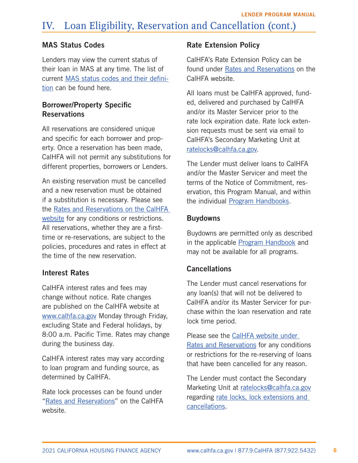### <span id="page-8-0"></span>MAS Status Codes

Lenders may view the current status of their loan in MAS at any time. The list of current [MAS status codes and their defini](http://www.calhfa.ca.gov/homeownership/forms/mas-statuscodes.pdf)[tion](http://www.calhfa.ca.gov/homeownership/forms/mas-statuscodes.pdf) can be found here.

# Borrower/Property Specific **Reservations**

All reservations are considered unique and specific for each borrower and property. Once a reservation has been made, CalHFA will not permit any substitutions for different properties, borrowers or Lenders.

An existing reservation must be cancelled and a new reservation must be obtained if a substitution is necessary. Please see the [Rates and Reservations on the CalHFA](https://www.calhfa.ca.gov/apps/rates/)  [website](https://www.calhfa.ca.gov/apps/rates/) for any conditions or restrictions. All reservations, whether they are a firsttime or re-reservations, are subject to the policies, procedures and rates in effect at the time of the new reservation.

# Interest Rates

CalHFA interest rates and fees may change without notice. Rate changes are published on the CalHFA website at [www.calhfa.ca.gov](http://www.calhfa.ca.gov) Monday through Friday, excluding State and Federal holidays, by 8:00 a.m. Pacific Time. Rates may change during the business day.

CalHFA interest rates may vary according to loan program and funding source, as determined by CalHFA.

Rate lock processes can be found under "[Rates and Reservations](https://www.calhfa.ca.gov/homeownership/rates/index.htm )" on the CalHFA website.

# Rate Extension Policy

CalHFA's Rate Extension Policy can be found under [Rates and Reservations](https://www.calhfa.ca.gov/homeownership/rates/index.htm ) on the CalHFA website.

All loans must be CalHFA approved, funded, delivered and purchased by CalHFA and/or its Master Servicer prior to the rate lock expiration date. Rate lock extension requests must be sent via email to CalHFA's Secondary Marketing Unit at [ratelocks@calhfa.ca.gov](mailto:ratelocks@calhfa.ca.gov).

The Lender must deliver loans to CalHFA and/or the Master Servicer and meet the terms of the Notice of Commitment, reservation, this Program Manual, and within the individual [Program Handbooks](https://www.calhfa.ca.gov/homeownership/programs/index.htm).

### Buydowns

Buydowns are permitted only as described in the applicable [Program Handbook](https://www.calhfa.ca.gov/homeownership/programs/index.htm) and may not be available for all programs.

# **Cancellations**

The Lender must cancel reservations for any loan(s) that will not be delivered to CalHFA and/or its Master Servicer for purchase within the loan reservation and rate lock time period.

Please see the [CalHFA website](https://www.calhfa.ca.gov/apps/rates/) under Rates and Reservations for any conditions or restrictions for the re-reserving of loans that have been cancelled for any reason.

The Lender must contact the Secondary Marketing Unit at [ratelocks@calhfa.ca.gov](mailto:ratelocks@calhfa.ca.gov) regarding [rate locks, lock extensions and](http://www.calhfa.ca.gov/homeownership/rates/index.htm)  [cancellations.](http://www.calhfa.ca.gov/homeownership/rates/index.htm)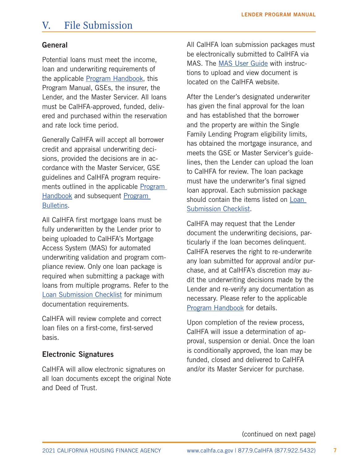# <span id="page-9-0"></span>V. File Submission

#### General

Potential loans must meet the income, loan and underwriting requirements of the applicable [Program Handbook](https://www.calhfa.ca.gov/homeownership/programs/index.htm), this Program Manual, GSEs, the insurer, the Lender, and the Master Servicer. All loans must be CalHFA-approved, funded, delivered and purchased within the reservation and rate lock time period.

Generally CalHFA will accept all borrower credit and appraisal underwriting decisions, provided the decisions are in accordance with the Master Servicer, GSE guidelines and CalHFA program requirements outlined in the applicable [Program](https://www.calhfa.ca.gov/homeownership/programs/index.htm)  [Handbook](https://www.calhfa.ca.gov/homeownership/programs/index.htm) and subsequent [Program](https://www.calhfa.ca.gov/homeownership/bulletins/index.htm)  [Bulletins.](https://www.calhfa.ca.gov/homeownership/bulletins/index.htm)

All CalHFA first mortgage loans must be fully underwritten by the Lender prior to being uploaded to CalHFA's Mortgage Access System (MAS) for automated underwriting validation and program compliance review. Only one loan package is required when submitting a package with loans from multiple programs. Refer to the [Loan Submission Checklist](http://www.calhfa.ca.gov/homeownership/forms/checklist-submission.pdf) for minimum documentation requirements.

CalHFA will review complete and correct loan files on a first-come, first-served basis.

#### Electronic Signatures

CalHFA will allow electronic signatures on all loan documents except the original Note and Deed of Trust.

All CalHFA loan submission packages must be electronically submitted to CalHFA via MAS. The [MAS User Guide](https://www.calhfa.ca.gov/homeownership/forms/mas-purch-rev-guide.pdf) with instructions to upload and view document is located on the CalHFA website.

After the Lender's designated underwriter has given the final approval for the loan and has established that the borrower and the property are within the Single Family Lending Program eligibility limits, has obtained the mortgage insurance, and meets the GSE or Master Servicer's guidelines, then the Lender can upload the loan to CalHFA for review. The loan package must have the underwriter's final signed loan approval. Each submission package should contain the items listed on [Loan](http://www.calhfa.ca.gov/homeownership/forms/checklist-submission.pdf)  [Submission Checklist](http://www.calhfa.ca.gov/homeownership/forms/checklist-submission.pdf).

CalHFA may request that the Lender document the underwriting decisions, particularly if the loan becomes delinquent. CalHFA reserves the right to re-underwrite any loan submitted for approval and/or purchase, and at CalHFA's discretion may audit the underwriting decisions made by the Lender and re-verify any documentation as necessary. Please refer to the applicable [Program Handbook](https://www.calhfa.ca.gov/homeownership/programs/index.htm) for details.

Upon completion of the review process, CalHFA will issue a determination of approval, suspension or denial. Once the loan is conditionally approved, the loan may be funded, closed and delivered to CalHFA and/or its Master Servicer for purchase.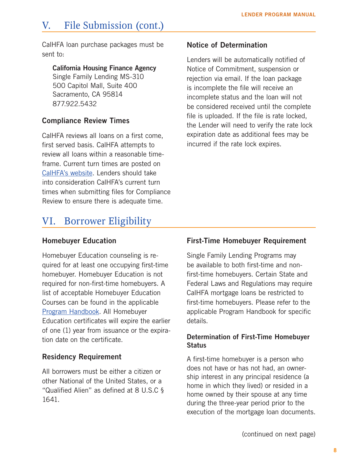# <span id="page-10-0"></span>V. File Submission (cont.)

CalHFA loan purchase packages must be sent to:

#### California Housing Finance Agency

Single Family Lending MS-310 500 Capitol Mall, Suite 400 Sacramento, CA 95814 877.922.5432

# Compliance Review Times

CalHFA reviews all loans on a first come, first served basis. CalHFA attempts to review all loans within a reasonable timeframe. Current turn times are posted on [CalHFA's website](http://www.calhfa.ca.gov/homeownership/index.htm). Lenders should take into consideration CalHFA's current turn times when submitting files for Compliance Review to ensure there is adequate time.

# VI. Borrower Eligibility

### Homebuyer Education

Homebuyer Education counseling is required for at least one occupying first-time homebuyer. Homebuyer Education is not required for non-first-time homebuyers. A list of acceptable Homebuyer Education Courses can be found in the applicable [Program Handbook](https://www.calhfa.ca.gov/homeownership/programs/index.htm). All Homebuyer Education certificates will expire the earlier of one (1) year from issuance or the expiration date on the certificate.

### Residency Requirement

All borrowers must be either a citizen or other National of the United States, or a "Qualified Alien" as defined at 8 U.S.C § 1641.

#### Notice of Determination

Lenders will be automatically notified of Notice of Commitment, suspension or rejection via email. If the loan package is incomplete the file will receive an incomplete status and the loan will not be considered received until the complete file is uploaded. If the file is rate locked, the Lender will need to verify the rate lock expiration date as additional fees may be incurred if the rate lock expires.

### First-Time Homebuyer Requirement

Single Family Lending Programs may be available to both first-time and nonfirst-time homebuyers. Certain State and Federal Laws and Regulations may require CalHFA mortgage loans be restricted to first-time homebuyers. Please refer to the applicable Program Handbook for specific details.

#### Determination of First-Time Homebuyer **Status**

A first-time homebuyer is a person who does not have or has not had, an ownership interest in any principal residence (a home in which they lived) or resided in a home owned by their spouse at any time during the three-year period prior to the execution of the mortgage loan documents.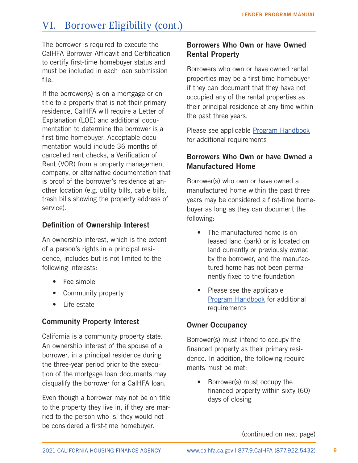# <span id="page-11-0"></span>VI. Borrower Eligibility (cont.)

The borrower is required to execute the CalHFA Borrower Affidavit and Certification to certify first-time homebuyer status and must be included in each loan submission file.

If the borrower(s) is on a mortgage or on title to a property that is not their primary residence, CalHFA will require a Letter of Explanation (LOE) and additional documentation to determine the borrower is a first-time homebuyer. Acceptable documentation would include 36 months of cancelled rent checks, a Verification of Rent (VOR) from a property management company, or alternative documentation that is proof of the borrower's residence at another location (e.g. utility bills, cable bills, trash bills showing the property address of service).

# Definition of Ownership Interest

An ownership interest, which is the extent of a person's rights in a principal residence, includes but is not limited to the following interests:

- Fee simple
- Community property
- Life estate

# Community Property Interest

California is a community property state. An ownership interest of the spouse of a borrower, in a principal residence during the three-year period prior to the execution of the mortgage loan documents may disqualify the borrower for a CalHFA loan.

Even though a borrower may not be on title to the property they live in, if they are married to the person who is, they would not be considered a first-time homebuyer.

### Borrowers Who Own or have Owned Rental Property

Borrowers who own or have owned rental properties may be a first-time homebuyer if they can document that they have not occupied any of the rental properties as their principal residence at any time within the past three years.

Please see applicable **Program Handbook** for additional requirements

# Borrowers Who Own or have Owned a Manufactured Home

Borrower(s) who own or have owned a manufactured home within the past three years may be considered a first-time homebuyer as long as they can document the following:

- The manufactured home is on leased land (park) or is located on land currently or previously owned by the borrower, and the manufactured home has not been permanently fixed to the foundation
- Please see the applicable [Program Handbook](https://www.calhfa.ca.gov/homeownership/programs/index.htm) for additional requirements

# Owner Occupancy

Borrower(s) must intend to occupy the financed property as their primary residence. In addition, the following requirements must be met:

• Borrower(s) must occupy the financed property within sixty (60) days of closing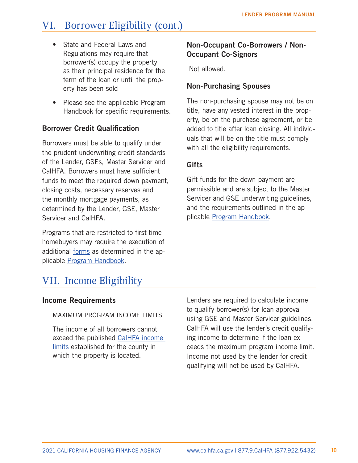# <span id="page-12-0"></span>VI. Borrower Eligibility (cont.)

- State and Federal Laws and Regulations may require that borrower(s) occupy the property as their principal residence for the term of the loan or until the property has been sold
- Please see the applicable Program Handbook for specific requirements.

#### Borrower Credit Qualification

Borrowers must be able to qualify under the prudent underwriting credit standards of the Lender, GSEs, Master Servicer and CalHFA. Borrowers must have sufficient funds to meet the required down payment, closing costs, necessary reserves and the monthly mortgage payments, as determined by the Lender, GSE, Master Servicer and CalHFA.

Programs that are restricted to first-time homebuyers may require the execution of additional [forms](http://www.calhfa.ca.gov/homeownership/forms/index.htm) as determined in the applicable [Program Handbook](https://www.calhfa.ca.gov/homeownership/programs/index.htm).

### Non-Occupant Co-Borrowers / Non-Occupant Co-Signors

Not allowed.

### Non-Purchasing Spouses

The non-purchasing spouse may not be on title, have any vested interest in the property, be on the purchase agreement, or be added to title after loan closing. All individuals that will be on the title must comply with all the eligibility requirements.

#### **Gifts**

Gift funds for the down payment are permissible and are subject to the Master Servicer and GSE underwriting guidelines, and the requirements outlined in the applicable [Program Handbook.](https://www.calhfa.ca.gov/homeownership/programs/index.htm)

# VII. Income Eligibility

#### Income Requirements

MAXIMUM PROGRAM INCOME LIMITS

The income of all borrowers cannot exceed the published [CalHFA income](https://www.calhfa.ca.gov/homeownership/limits/index.htm#sales)  [limits](https://www.calhfa.ca.gov/homeownership/limits/index.htm#sales) established for the county in which the property is located.

Lenders are required to calculate income to qualify borrower(s) for loan approval using GSE and Master Servicer guidelines. CalHFA will use the lender's credit qualifying income to determine if the loan exceeds the maximum program income limit. Income not used by the lender for credit qualifying will not be used by CalHFA.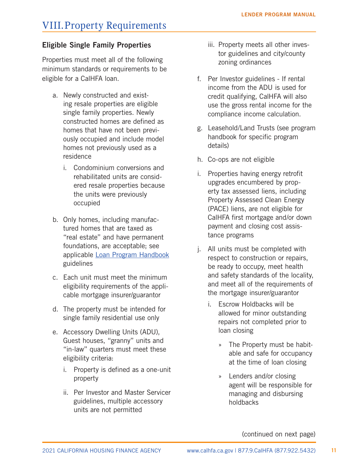# <span id="page-13-0"></span>VIII.Property Requirements

### Eligible Single Family Properties

Properties must meet all of the following minimum standards or requirements to be eligible for a CalHFA loan.

- a. Newly constructed and existing resale properties are eligible single family properties. Newly constructed homes are defined as homes that have not been previously occupied and include model homes not previously used as a residence
	- i. Condominium conversions and rehabilitated units are considered resale properties because the units were previously occupied
- b. Only homes, including manufactured homes that are taxed as "real estate" and have permanent foundations, are acceptable; see applicable [Loan Program Handbook](https://www.calhfa.ca.gov/homeownership/programs/index.htm) guidelines
- c. Each unit must meet the minimum eligibility requirements of the applicable mortgage insurer/guarantor
- d. The property must be intended for single family residential use only
- e. Accessory Dwelling Units (ADU), Guest houses, "granny" units and "in-law" quarters must meet these eligibility criteria:
	- i. Property is defined as a one-unit property
	- ii. Per Investor and Master Servicer guidelines, multiple accessory units are not permitted
- iii. Property meets all other investor guidelines and city/county zoning ordinances
- f. Per Investor guidelines If rental income from the ADU is used for credit qualifying, CalHFA will also use the gross rental income for the compliance income calculation.
- g. Leasehold/Land Trusts (see program handbook for specific program details)
- h. Co-ops are not eligible
- i. Properties having energy retrofit upgrades encumbered by property tax assessed liens, including Property Assessed Clean Energy (PACE) liens, are not eligible for CalHFA first mortgage and/or down payment and closing cost assistance programs
- j. All units must be completed with respect to construction or repairs, be ready to occupy, meet health and safety standards of the locality, and meet all of the requirements of the mortgage insurer/guarantor
	- i. Escrow Holdbacks will be allowed for minor outstanding repairs not completed prior to loan closing
		- » The Property must be habitable and safe for occupancy at the time of loan closing
		- » Lenders and/or closing agent will be responsible for managing and disbursing holdbacks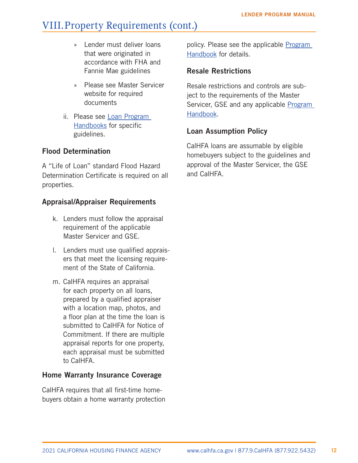# <span id="page-14-0"></span>VIII.Property Requirements (cont.)

- » Lender must deliver loans that were originated in accordance with FHA and Fannie Mae guidelines
- » Please see Master Servicer website for required documents
- ii. Please see [Loan Program](https://www.calhfa.ca.gov/homeownership/programs/index.htm)  [Handbooks](https://www.calhfa.ca.gov/homeownership/programs/index.htm) for specific guidelines.

### Flood Determination

A "Life of Loan" standard Flood Hazard Determination Certificate is required on all properties.

### Appraisal/Appraiser Requirements

- k. Lenders must follow the appraisal requirement of the applicable Master Servicer and GSE.
- l. Lenders must use qualified appraisers that meet the licensing requirement of the State of California.
- m. CalHFA requires an appraisal for each property on all loans, prepared by a qualified appraiser with a location map, photos, and a floor plan at the time the loan is submitted to CalHFA for Notice of Commitment. If there are multiple appraisal reports for one property, each appraisal must be submitted to CalHFA.

### Home Warranty Insurance Coverage

CalHFA requires that all first-time homebuyers obtain a home warranty protection

policy. Please see the applicable Program [Handbook](https://www.calhfa.ca.gov/homeownership/programs/index.htm) for details.

### Resale Restrictions

Resale restrictions and controls are subject to the requirements of the Master Servicer, GSE and any applicable [Program](https://www.calhfa.ca.gov/homeownership/programs/index.htm)  [Handbook.](https://www.calhfa.ca.gov/homeownership/programs/index.htm)

### Loan Assumption Policy

CalHFA loans are assumable by eligible homebuyers subject to the guidelines and approval of the Master Servicer, the GSE and CalHFA.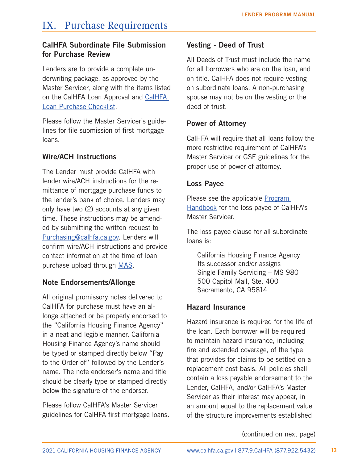# <span id="page-15-0"></span>IX. Purchase Requirements

### CalHFA Subordinate File Submission for Purchase Review

Lenders are to provide a complete underwriting package, as approved by the Master Servicer, along with the items listed on the CalHFA Loan Approval and [CalHFA](http://www.calhfa.ca.gov/homeownership/forms/index.htm)  [Loan Purchase Checklist.](http://www.calhfa.ca.gov/homeownership/forms/index.htm)

Please follow the Master Servicer's guidelines for file submission of first mortgage loans.

# Wire/ACH Instructions

The Lender must provide CalHFA with lender wire/ACH instructions for the remittance of mortgage purchase funds to the lender's bank of choice. Lenders may only have two (2) accounts at any given time. These instructions may be amended by submitting the written request to [Purchasing@calhfa.ca.gov.](mailto:Purchasing%40calhfa.ca.gov?subject=) Lenders will confirm wire/ACH instructions and provide contact information at the time of loan purchase upload through [MAS](https://mortgageaccess.calhfa.ca.gov/UserAccount/Home).

# Note Endorsements/Allonge

All original promissory notes delivered to CalHFA for purchase must have an allonge attached or be properly endorsed to the "California Housing Finance Agency" in a neat and legible manner. California Housing Finance Agency's name should be typed or stamped directly below "Pay to the Order of" followed by the Lender's name. The note endorser's name and title should be clearly type or stamped directly below the signature of the endorser.

Please follow CalHFA's Master Servicer guidelines for CalHFA first mortgage loans.

### Vesting - Deed of Trust

All Deeds of Trust must include the name for all borrowers who are on the loan, and on title. CalHFA does not require vesting on subordinate loans. A non-purchasing spouse may not be on the vesting or the deed of trust.

### Power of Attorney

CalHFA will require that all loans follow the more restrictive requirement of CalHFA's Master Servicer or GSE guidelines for the proper use of power of attorney.

### Loss Payee

Please see the applicable [Program](http://www.calhfa.ca.gov/homeownership/programs/index.htm )  [Handbook](http://www.calhfa.ca.gov/homeownership/programs/index.htm ) for the loss payee of CalHFA's Master Servicer.

The loss payee clause for all subordinate loans is:

California Housing Finance Agency Its successor and/or assigns Single Family Servicing – MS 980 500 Capitol Mall, Ste. 400 Sacramento, CA 95814

# Hazard Insurance

Hazard insurance is required for the life of the loan. Each borrower will be required to maintain hazard insurance, including fire and extended coverage, of the type that provides for claims to be settled on a replacement cost basis. All policies shall contain a loss payable endorsement to the Lender, CalHFA, and/or CalHFA's Master Servicer as their interest may appear, in an amount equal to the replacement value of the structure improvements established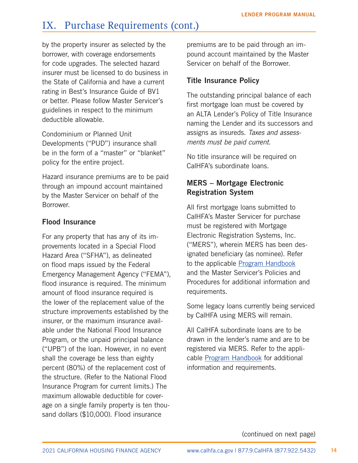# <span id="page-16-0"></span>IX. Purchase Requirements (cont.)

by the property insurer as selected by the borrower, with coverage endorsements for code upgrades. The selected hazard insurer must be licensed to do business in the State of California and have a current rating in Best's Insurance Guide of BV1 or better. Please follow Master Servicer's guidelines in respect to the minimum deductible allowable.

Condominium or Planned Unit Developments ("PUD") insurance shall be in the form of a "master" or "blanket" policy for the entire project.

Hazard insurance premiums are to be paid through an impound account maintained by the Master Servicer on behalf of the Borrower.

#### Flood Insurance

For any property that has any of its improvements located in a Special Flood Hazard Area ("SFHA"), as delineated on flood maps issued by the Federal Emergency Management Agency ("FEMA"), flood insurance is required. The minimum amount of flood insurance required is the lower of the replacement value of the structure improvements established by the insurer, or the maximum insurance available under the National Flood Insurance Program, or the unpaid principal balance ("UPB") of the loan. However, in no event shall the coverage be less than eighty percent (80%) of the replacement cost of the structure. (Refer to the National Flood Insurance Program for current limits.) The maximum allowable deductible for coverage on a single family property is ten thousand dollars (\$10,000). Flood insurance

premiums are to be paid through an impound account maintained by the Master Servicer on behalf of the Borrower.

#### Title Insurance Policy

The outstanding principal balance of each first mortgage loan must be covered by an ALTA Lender's Policy of Title Insurance naming the Lender and its successors and assigns as insureds. *Taxes and assessments must be paid current.*

No title insurance will be required on CalHFA's subordinate loans.

### MERS – Mortgage Electronic Registration System

All first mortgage loans submitted to CalHFA's Master Servicer for purchase must be registered with Mortgage Electronic Registration Systems, Inc. ("MERS"), wherein MERS has been designated beneficiary (as nominee). Refer to the applicable [Program Handbook](https://www.calhfa.ca.gov/homeownership/programs/index.htm) and the Master Servicer's Policies and Procedures for additional information and requirements.

Some legacy loans currently being serviced by CalHFA using MERS will remain.

All CalHFA subordinate loans are to be drawn in the lender's name and are to be registered via MERS. Refer to the applicable [Program Handbook](https://www.calhfa.ca.gov/homeownership/programs/index.htm) for additional information and requirements.